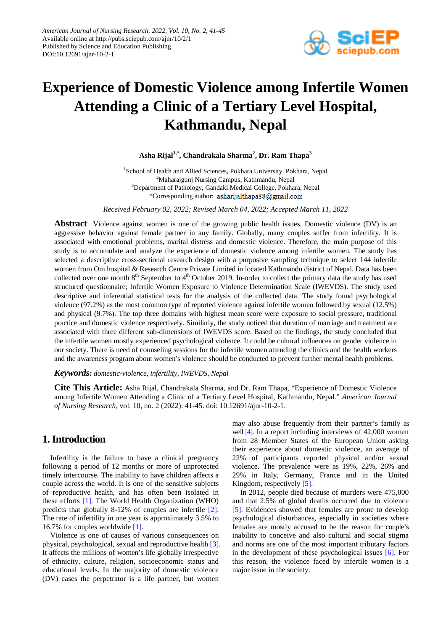

# **Experience of Domestic Violence among Infertile Women Attending a Clinic of a Tertiary Level Hospital, Kathmandu, Nepal**

**Asha Rijal1,\*, Chandrakala Sharma2 , Dr. Ram Thapa<sup>3</sup>**

<sup>1</sup>School of Health and Allied Sciences, Pokhara University, Pokhara, Nepal <sup>2</sup>Maharajgunj Nursing Campus, Kathmandu, Nepal <sup>3</sup>Department of Pathology, Gandaki Medical College, Pokhara, Nepal \*Corresponding author: asharijalthapa88@gmail.com

*Received February 02, 2022; Revised March 04, 2022; Accepted March 11, 2022*

**Abstract** Violence against women is one of the growing public health issues. Domestic violence (DV) is an aggressive behavior against female partner in any family. Globally, many couples suffer from infertility. It is associated with emotional problems, marital distress and domestic violence. Therefore, the main purpose of this study is to accumulate and analyze the experience of domestic violence among infertile women. The study has selected a descriptive cross-sectional research design with a purposive sampling technique to select 144 infertile women from Om hospital & Research Centre Private Limited in located Kathmandu district of Nepal. Data has been collected over one month  $8<sup>th</sup>$  September to  $4<sup>th</sup>$  October 2019. In-order to collect the primary data the study has used structured questionnaire; Infertile Women Exposure to Violence Determination Scale (IWEVDS). The study used descriptive and inferential statistical tests for the analysis of the collected data. The study found psychological violence (97.2%) as the most common type of reported violence against infertile women followed by sexual (12.5%) and physical (9.7%). The top three domains with highest mean score were exposure to social pressure, traditional practice and domestic violence respectively. Similarly, the study noticed that duration of marriage and treatment are associated with three different sub-dimensions of IWEVDS score. Based on the findings, the study concluded that the infertile women mostly experienced psychological violence. It could be cultural influences on gender violence in our society. There is need of counseling sessions for the infertile women attending the clinics and the health workers and the awareness program about women's violence should be conducted to prevent further mental health problems.

#### *Keywords: domestic-violence, infertility, IWEVDS, Nepal*

**Cite This Article:** Asha Rijal, Chandrakala Sharma, and Dr. Ram Thapa, "Experience of Domestic Violence among Infertile Women Attending a Clinic of a Tertiary Level Hospital, Kathmandu, Nepal." *American Journal of Nursing Research*, vol. 10, no. 2 (2022): 41-45. doi: 10.12691/ajnr-10-2-1.

## **1. Introduction**

Infertility is the failure to have a clinical pregnancy following a period of 12 months or more of unprotected timely intercourse. The inability to have children affects a couple across the world. It is one of the sensitive subjects of reproductive health, and has often been isolated in these efforts [\[1\].](#page-4-0) The World Health Organization (WHO) predicts that globally 8-12% of couples are infertile [\[2\].](#page-4-1) The rate of infertility in one year is approximately 3.5% to 16.7% for couples worldwide [\[1\].](#page-4-0)

Violence is one of causes of various consequences on physical, psychological, sexual and reproductive healt[h \[3\].](#page-4-2) It affects the millions of women's life globally irrespective of ethnicity, culture, religion, socioeconomic status and educational levels. In the majority of domestic violence (DV) cases the perpetrator is a life partner, but women

may also abuse frequently from their partner's family as wel[l \[4\].](#page-4-3) In a report including interviews of 42,000 women from 28 Member States of the European Union asking their experience about domestic violence, an average of 22% of participants reported physical and/or sexual violence. The prevalence were as 19%, 22%, 26% and 29% in Italy, Germany, France and in the United Kingdom, respectively [\[5\].](#page-4-4)

In 2012, people died because of murders were 475,000 and that 2.5% of global deaths occurred due to violence [\[5\].](#page-4-4) Evidences showed that females are prone to develop psychological disturbances, especially in societies where females are mostly accused to be the reason for couple's inability to conceive and also cultural and social stigma and norms are one of the most important tributary factors in the development of these psychological issues [\[6\].](#page-4-5) For this reason, the violence faced by infertile women is a major issue in the society.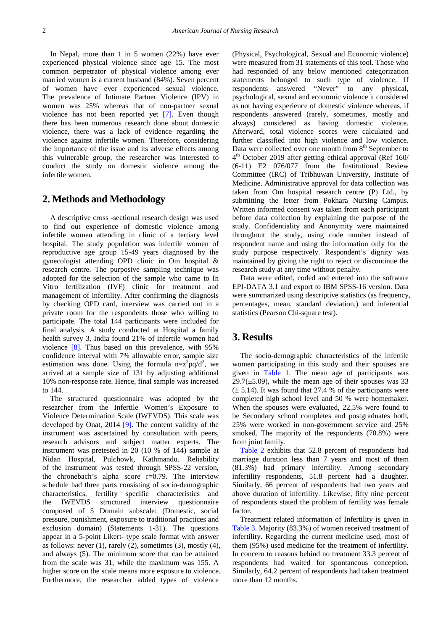In Nepal, more than 1 in 5 women (22%) have ever experienced physical violence since age 15. The most common perpetrator of physical violence among ever married women is a current husband (84%). Seven percent of women have ever experienced sexual violence. The prevalence of Intimate Partner Violence (IPV) in women was 25% whereas that of non-partner sexual violence has not been reported yet [\[7\].](#page-4-6) Even though there has been numerous research done about domestic violence, there was a lack of evidence regarding the violence against infertile women. Therefore, considering the importance of the issue and its adverse effects among this vulnerable group, the researcher was interested to conduct the study on domestic violence among the infertile women.

# **2. Methods and Methodology**

A descriptive cross -sectional research design was used to find out experience of domestic violence among infertile women attending in clinic of a tertiary level hospital. The study population was infertile women of reproductive age group 15-49 years diagnosed by the gynecologist attending OPD clinic in Om hospital & research centre. The purposive sampling technique was adopted for the selection of the sample who came to In Vitro fertilization (IVF) clinic for treatment and management of infertility. After confirming the diagnosis by checking OPD card, interview was carried out in a private room for the respondents those who willing to participate. The total 144 participants were included for final analysis. A study conducted at Hospital a family health survey 3, India found 21% of infertile women had violence [\[8\].](#page-4-7) Thus based on this prevalence, with 95% confidence interval with 7% allowable error, sample size estimation was done. Using the formula  $n = z^2 pq/d^2$ , we arrived at a sample size of 131 by adjusting additional 10% non-response rate. Hence, final sample was increased to 144.

The structured questionnaire was adopted by the researcher from the Infertile Women's Exposure to Violence Determination Scale (IWEVDS). This scale was developed by Onat, 2014 [\[9\].](#page-4-8) The content validity of the instrument was ascertained by consultation with peers, research advisors and subject matter experts. The instrument was pretested in 20 (10 % of 144) sample at Nidan Hospital, Pulchowk, Kathmandu. Reliability of the instrument was tested through SPSS-22 version, the chronebach's alpha score r=0.79. The interview schedule had three parts consisting of socio-demographic characteristics, fertility specific characteristics and the IWEVDS structured interview questionnaire composed of 5 Domain subscale: (Domestic, social pressure, punishment, exposure to traditional practices and exclusion domain) (Statements 1-31). The questions appear in a 5-point Likert- type scale format with answer as follows: never  $(1)$ , rarely  $(2)$ , sometimes  $(3)$ , mostly  $(4)$ , and always (5). The minimum score that can be attained from the scale was 31, while the maximum was 155. A higher score on the scale means more exposure to violence. Furthermore, the researcher added types of violence

(Physical, Psychological, Sexual and Economic violence) were measured from 31 statements of this tool. Those who had responded of any below mentioned categorization statements belonged to such type of violence. If respondents answered "Never" to any physical, psychological, sexual and economic violence it considered as not having experience of domestic violence whereas, if respondents answered (rarely, sometimes, mostly and always) considered as having domestic violence. Afterward, total violence scores were calculated and further classified into high violence and low violence. Data were collected over one month from 8<sup>th</sup> September to  $4<sup>th</sup>$  October 2019 after getting ethical approval (Ref 160/ (6-11) E2 076/077 from the Institutional Review Committee (IRC) of Tribhuwan University, Institute of Medicine. Administrative approval for data collection was taken from Om hospital research centre (P) Ltd., by submitting the letter from Pokhara Nursing Campus. Written informed consent was taken from each participant before data collection by explaining the purpose of the study. Confidentiality and Anonymity were maintained throughout the study, using code number instead of respondent name and using the information only for the study purpose respectively. Respondent's dignity was maintained by giving the right to reject or discontinue the research study at any time without penalty.

Data were edited, coded and entered into the software EPI-DATA 3.1 and export to IBM SPSS-16 version. Data were summarized using descriptive statistics (as frequency, percentages, mean, standard deviation,) and inferential statistics (Pearson Chi-square test).

#### **3. Results**

The socio-demographic characteristics of the infertile women participating in this study and their spouses are given in [Table 1.](#page-2-0) The mean age of participants was  $29.7(\pm 5.09)$ , while the mean age of their spouses was 33  $(\pm 5.14)$ . It was found that 27.4 % of the participants were completed high school level and 50 % were homemaker. When the spouses were evaluated, 22.5% were found to be Secondary school completes and postgraduates both, 25% were worked in non-government service and 25% smoked. The majority of the respondents (70.8%) were from joint family.

[Table 2](#page-2-1) exhibits that 52.8 percent of respondents had marriage duration less than 7 years and most of them (81.3%) had primary infertility. Among secondary infertility respondents, 51.8 percent had a daughter. Similarly, 66 percent of respondents had two years and above duration of infertility. Likewise, fifty nine percent of respondents stated the problem of fertility was female factor.

Treatment related information of Infertility is given in [Table 3.](#page-2-2) Majority (83.3%) of women received treatment of infertility. Regarding the current medicine used, most of them (95%) used medicine for the treatment of infertility. In concern to reasons behind no treatment 33.3 percent of respondents had waited for spontaneous conception. Similarly, 64.2 percent of respondents had taken treatment more than 12 months.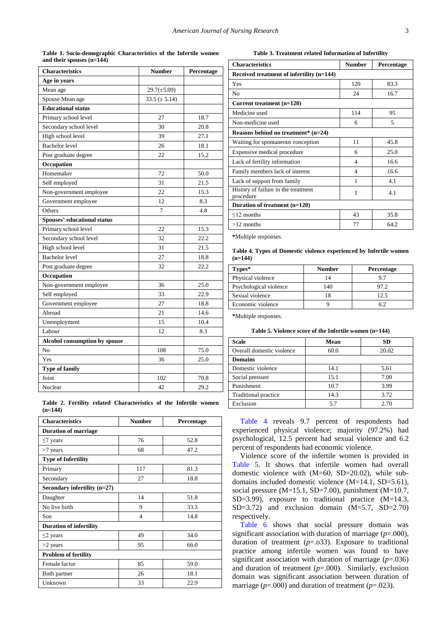**Table 1. Socio-demographic Characteristics of the Infertile women and their spouses (n=144)**

<span id="page-2-0"></span>

| <b>Characteristics</b>               | <b>Number</b>     | Percentage |
|--------------------------------------|-------------------|------------|
| <b>Age in years</b>                  |                   |            |
| Mean age                             | $29.7(\pm 5.09)$  |            |
| Spouse Mean age                      | $33.5 (\pm 5.14)$ |            |
| <b>Educational status</b>            |                   |            |
| Primary school level                 | 27                | 18.7       |
| Secondary school level               | 30                | 20.8       |
| High school level                    | 39                | 27.1       |
| <b>Bachelor</b> level                | 26                | 18.1       |
| Post graduate degree                 | 22                | 15.2       |
| Occupation                           |                   |            |
| Homemaker                            | 72                | 50.0       |
| Self employed                        | 31                | 21.5       |
| Non-government employee              | 22                | 15.3       |
| Government employee                  | 12                | 8.3        |
| Others                               | 7                 | 4.8        |
| Spouses' educational status          |                   |            |
| Primary school level                 | 22                | 15.3       |
| Secondary school level               | 32                | 22.2       |
| High school level                    | 31                | 21.5       |
| <b>Bachelor</b> level                | 27                | 18.8       |
| Post graduate degree                 | 32                | 22.2       |
| Occupation                           |                   |            |
| Non-government employee              | 36                | 25.0       |
| Self employed                        | 33                | 22.9       |
| Government employee                  | 27                | 18.8       |
| Abroad                               | 21                | 14.6       |
| Unemployment                         | 15                | 10.4       |
| Labour                               | 12                | 8.3        |
| <b>Alcohol consumption by spouse</b> |                   |            |
| No                                   | 108               | 75.0       |
| Yes                                  | 36                | 25.0       |
| <b>Type of family</b>                |                   |            |
| Joint                                | 102               | 70.8       |
| Nuclear                              | 42                | 29.2       |

**Table 2. Fertility related Characteristics of the Infertile women (n=144)**

<span id="page-2-1"></span>

| <b>Characteristics</b>         | <b>Number</b> | Percentage |  |  |
|--------------------------------|---------------|------------|--|--|
| <b>Duration of marriage</b>    |               |            |  |  |
| $\leq$ 7 years                 | 76            | 52.8       |  |  |
| $>7$ years                     | 68            | 47.2       |  |  |
| <b>Type of Infertility</b>     |               |            |  |  |
| Primary                        | 117           | 81.3       |  |  |
| Secondary                      | 27            | 18.8       |  |  |
| Secondary infertility $(n=27)$ |               |            |  |  |
| Daughter                       | 14            | 51.8       |  |  |
| No live birth                  | 9             | 33.3       |  |  |
| Son                            | 4             | 14.8       |  |  |
| <b>Duration of infertility</b> |               |            |  |  |
| $\leq$ years                   | 49            | 34.0       |  |  |
| $>2$ years                     | 95            | 66.0       |  |  |
| <b>Problem of fertility</b>    |               |            |  |  |
| Female factor                  | 85            | 59.0       |  |  |
| Both partner                   | 26            | 18.1       |  |  |
| Unknown                        | 33            | 22.9       |  |  |

**Table 3. Treatment related Information of Infertility**

<span id="page-2-2"></span>

| <b>Characteristics</b>                           | <b>Number</b> | Percentage |  |
|--------------------------------------------------|---------------|------------|--|
| Received treatment of infertility (n=144)        |               |            |  |
| Yes                                              | 120           | 83.3       |  |
| N <sub>0</sub>                                   | 24            | 16.7       |  |
| Current treatment $(n=120)$                      |               |            |  |
| Medicine used                                    | 114           | 95         |  |
| Non-medicine used                                | 6             | 5          |  |
| Reasons behind no treatment* $(n=24)$            |               |            |  |
| Waiting for spontaneous conception               | 11            | 45.8       |  |
| Expensive medical procedure                      | 6             | 25.0       |  |
| Lack of fertility information                    | 4             | 16.6       |  |
| Family members lack of interest                  | 4             | 16.6       |  |
| Lack of support from family                      | 1             | 4.1        |  |
| History of failure in the treatment<br>procedure | 1             | 4.1        |  |
| Duration of treatment (n=120)                    |               |            |  |
| $\leq$ 12 months                                 | 43            | 35.8       |  |
| $>12$ months                                     | 77            | 64.2       |  |

**\***Multiple responses.

#### **Table 4. Types of Domestic violence experienced by Infertile women (n=144)**

<span id="page-2-3"></span>

| Types*                 | <b>Number</b> | <b>Percentage</b> |
|------------------------|---------------|-------------------|
| Physical violence      |               | 97                |
| Psychological violence | 140           | 97.2              |
| Sexual violence        |               | 12.5              |
| Economic violence      |               | 62                |

**\***Multiple responses.

|  | Table 5. Violence score of the Infertile women $(n=144)$ |  |  |  |
|--|----------------------------------------------------------|--|--|--|
|--|----------------------------------------------------------|--|--|--|

<span id="page-2-4"></span>

| <b>Scale</b>                | Mean | <b>SD</b> |
|-----------------------------|------|-----------|
| Overall domestic violence   | 60.0 | 20.02     |
| <b>Domains</b>              |      |           |
| Domestic violence           | 14.1 | 5.61      |
| Social pressure             | 15.1 | 7.00      |
| Punishment                  | 10.7 | 3.99      |
| <b>Traditional practice</b> | 14.3 | 3.72      |
| Exclusion                   | 5.7  | 2.70      |

[Table 4](#page-2-3) reveals 9.7 percent of respondents had experienced physical violence; majority (97.2%) had psychological, 12.5 percent had sexual violence and 6.2 percent of respondents had economic violence.

Violence score of the infertile women is provided in [Table 5.](#page-2-4) It shows that infertile women had overall domestic violence with (M=60, SD=20.02), while subdomains included domestic violence (M=14.1, SD=5.61), social pressure  $(M=15.1, SD=7.00)$ , punishment  $(M=10.7,$ SD=3.99), exposure to traditional practice (M=14.3,  $SD=3.72$ ) and exclusion domain  $(M=5.7, SD=2.70)$ respectively.

[Table 6](#page-3-0) shows that social pressure domain was significant association with duration of marriage  $(p=000)$ , duration of treatment (*p*=.o33). Exposure to traditional practice among infertile women was found to have significant association with duration of marriage (*p*=.036) and duration of treatment (*p*=.000). Similarly, exclusion domain was significant association between duration of marriage  $(p=.000)$  and duration of treatment  $(p=.023)$ .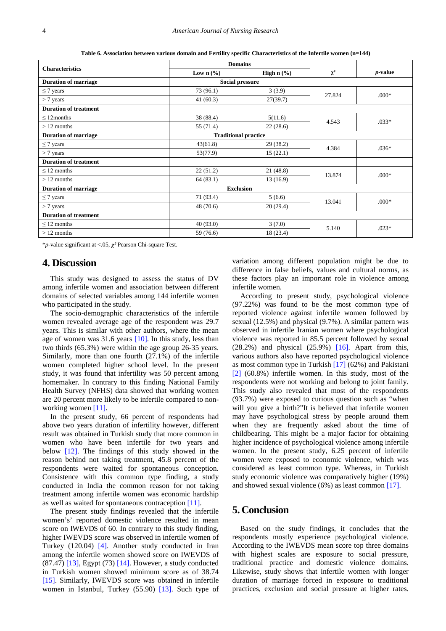**Table 6. Association between various domain and Fertility specific Characteristics of the Infertile women (n=144)**

<span id="page-3-0"></span>

| <b>Characteristics</b>       | <b>Domains</b>              |                                     |          |                 |
|------------------------------|-----------------------------|-------------------------------------|----------|-----------------|
|                              | Low $n$ (%)                 | High $n$ $\left(\frac{9}{6}\right)$ | $\chi^2$ | <i>p</i> -value |
| <b>Duration of marriage</b>  | <b>Social pressure</b>      |                                     |          |                 |
| $\leq$ 7 years               | 73(96.1)                    | 3(3.9)                              | 27.824   | $.000*$         |
| $> 7$ years                  | 41(60.3)                    | 27(39.7)                            |          |                 |
| <b>Duration of treatment</b> |                             |                                     |          |                 |
| $\leq$ 12 months             | 38 (88.4)                   | 5(11.6)                             | 4.543    | $.033*$         |
| $>12$ months                 | 55 (71.4)                   | 22(28.6)                            |          |                 |
| <b>Duration of marriage</b>  | <b>Traditional practice</b> |                                     |          |                 |
| $\leq$ 7 years               | 43(61.8)                    | 29(38.2)                            | 4.384    | $.036*$         |
| $>$ 7 years                  | 53(77.9)                    | 15(22.1)                            |          |                 |
| <b>Duration of treatment</b> |                             |                                     |          |                 |
| $\leq$ 12 months             | 22(51.2)                    | 21(48.8)                            | 13.874   | $.000*$         |
| $>12$ months                 | 64(83.1)                    | 13(16.9)                            |          |                 |
| <b>Duration of marriage</b>  | <b>Exclusion</b>            |                                     |          |                 |
| $\leq$ 7 years               | 71 (93.4)                   | 5(6.6)                              | 13.041   | $.000*$         |
| $> 7$ years                  | 48(70.6)                    | 20(29.4)                            |          |                 |
| <b>Duration of treatment</b> |                             |                                     |          |                 |
| $\leq$ 12 months             | 40(93.0)                    | 3(7.0)                              | 5.140    | $.023*$         |
| $>12$ months                 | 59 (76.6)                   | 18 (23.4)                           |          |                 |

\**p*-value significant at <.05, *χ²* Pearson Chi-square Test.

# **4. Discussion**

This study was designed to assess the status of DV among infertile women and association between different domains of selected variables among 144 infertile women who participated in the study.

The socio-demographic characteristics of the infertile women revealed average age of the respondent was 29.7 years. This is similar with other authors, where the mean age of women was 31.6 years  $[10]$ . In this study, less than two thirds (65.3%) were within the age group 26-35 years. Similarly, more than one fourth (27.1%) of the infertile women completed higher school level. In the present study, it was found that infertility was 50 percent among homemaker. In contrary to this finding National Family Health Survey (NFHS) data showed that working women are 20 percent more likely to be infertile compared to nonworking women [\[11\].](#page-4-10)

In the present study, 66 percent of respondents had above two years duration of infertility however, different result was obtained in Turkish study that more common in women who have been infertile for two years and below [\[12\].](#page-4-11) The findings of this study showed in the reason behind not taking treatment, 45.8 percent of the respondents were waited for spontaneous conception. Consistence with this common type finding, a study conducted in India the common reason for not taking treatment among infertile women was economic hardship as well as waited for spontaneous contraception [\[11\].](#page-4-10)

The present study findings revealed that the infertile women's' reported domestic violence resulted in mean score on IWEVDS of 60. In contrary to this study finding, higher IWEVDS score was observed in infertile women of Turkey (120.04) [\[4\].](#page-4-3) Another study conducted in Iran among the infertile women showed score on IWEVDS of  $(87.47)$  [\[13\],](#page-4-12) Egypt  $(73)$  [\[14\].](#page-4-13) However, a study conducted in Turkish women showed minimum score as of 38.74 [\[15\].](#page-4-14) Similarly, IWEVDS score was obtained in infertile women in Istanbul, Turkey (55.90) [\[13\].](#page-4-12) Such type of

variation among different population might be due to difference in false beliefs, values and cultural norms, as these factors play an important role in violence among infertile women.

According to present study, psychological violence (97.22%) was found to be the most common type of reported violence against infertile women followed by sexual (12.5%) and physical (9.7%). A similar pattern was observed in infertile Iranian women where psychological violence was reported in 85.5 percent followed by sexual (28.2%) and physical (25.9%) [\[16\].](#page-4-15) Apart from this, various authors also have reported psychological violence as most common type in Turkish [\[17\]](#page-4-16) (62%) and Pakistani [\[2\]](#page-4-1) (60.8%) infertile women. In this study, most of the respondents were not working and belong to joint family. This study also revealed that most of the respondents (93.7%) were exposed to curious question such as "when will you give a birth?"It is believed that infertile women may have psychological stress by people around them when they are frequently asked about the time of childbearing. This might be a major factor for obtaining higher incidence of psychological violence among infertile women. In the present study, 6.25 percent of infertile women were exposed to economic violence, which was considered as least common type. Whereas, in Turkish study economic violence was comparatively higher (19%) and showed sexual violence (6%) as least common [\[17\].](#page-4-16)

## **5. Conclusion**

Based on the study findings, it concludes that the respondents mostly experience psychological violence. According to the IWEVDS mean score top three domains with highest scales are exposure to social pressure, traditional practice and domestic violence domains. Likewise, study shows that infertile women with longer duration of marriage forced in exposure to traditional practices, exclusion and social pressure at higher rates.